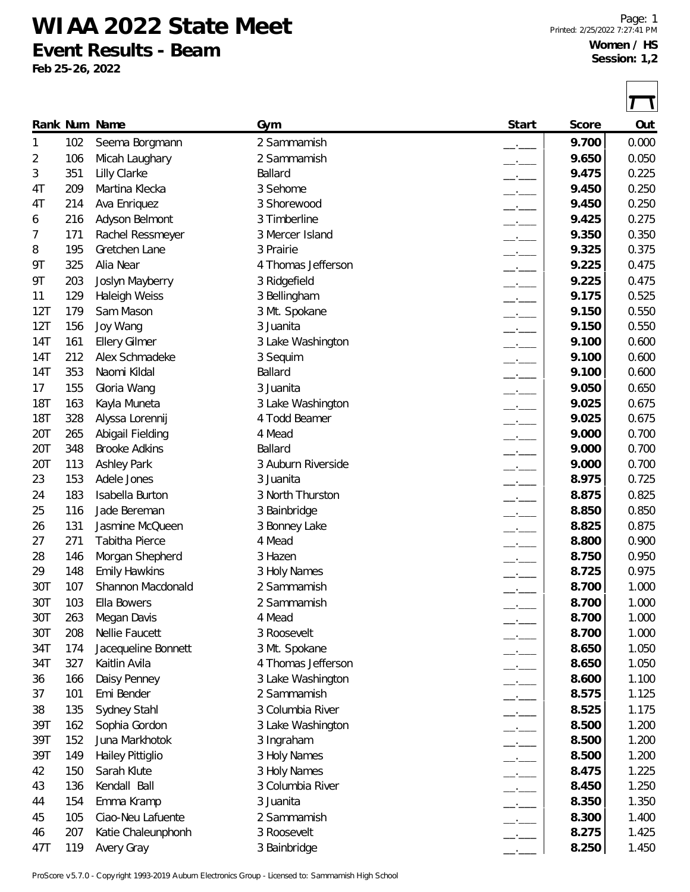## **WIAA 2022 State Meet**

**Event Results - Beam**

**Feb 25-26, 2022**

 $\Box$ 

|            |     | Rank Num Name                             | Gym                         | Start                    | Score          | Out   |
|------------|-----|-------------------------------------------|-----------------------------|--------------------------|----------------|-------|
| 1          | 102 | Seema Borgmann                            | 2 Sammamish                 | $-1$                     | 9.700          | 0.000 |
| 2          | 106 | Micah Laughary                            | 2 Sammamish                 | $-1$                     | 9.650          | 0.050 |
| 3          | 351 | Lilly Clarke                              | Ballard                     | $ -$                     | 9.475          | 0.225 |
| 4T         | 209 | Martina Klecka                            | 3 Sehome                    | $ -$                     | 9.450          | 0.250 |
| 4T         | 214 | Ava Enriquez                              | 3 Shorewood                 | $-$                      | 9.450          | 0.250 |
| 6          | 216 | Adyson Belmont                            | 3 Timberline                | $\overline{\phantom{a}}$ | 9.425          | 0.275 |
| 7          | 171 | Rachel Ressmeyer                          | 3 Mercer Island             |                          | 9.350          | 0.350 |
| 8          | 195 | Gretchen Lane                             | 3 Prairie                   | $-1$                     | 9.325          | 0.375 |
| 9Τ         | 325 | Alia Near                                 | 4 Thomas Jefferson          | $-$                      | 9.225          | 0.475 |
| 9Τ         | 203 | Joslyn Mayberry                           | 3 Ridgefield                | $\overline{\phantom{a}}$ | 9.225          | 0.475 |
| 11         | 129 | <b>Haleigh Weiss</b>                      | 3 Bellingham                | $\overline{\phantom{a}}$ | 9.175          | 0.525 |
| 12T        | 179 | Sam Mason                                 | 3 Mt. Spokane               | $-$                      | 9.150          | 0.550 |
| 12T        | 156 | Joy Wang                                  | 3 Juanita                   | $-$                      | 9.150          | 0.550 |
| 14T        | 161 | <b>Ellery Gilmer</b>                      | 3 Lake Washington           | $\overline{\phantom{a}}$ | 9.100          | 0.600 |
| 14T        | 212 | Alex Schmadeke                            | 3 Sequim                    | $\overline{\phantom{a}}$ | 9.100          | 0.600 |
| 14T        | 353 | Naomi Kildal                              | Ballard                     | $-$                      | 9.100          | 0.600 |
| 17         | 155 | Gloria Wang                               | 3 Juanita                   |                          | 9.050          | 0.650 |
| <b>18T</b> | 163 | Kayla Muneta                              | 3 Lake Washington           | $-1$                     | 9.025          | 0.675 |
| <b>18T</b> | 328 | Alyssa Lorennij                           | 4 Todd Beamer               | $ -$                     | 9.025          | 0.675 |
| 20T        | 265 | Abigail Fielding                          | 4 Mead                      | $ -$                     | 9.000          | 0.700 |
| 20T        | 348 | <b>Brooke Adkins</b>                      | Ballard                     | $-1$                     | 9.000          | 0.700 |
| 20T        | 113 | <b>Ashley Park</b>                        | 3 Auburn Riverside          |                          | 9.000          | 0.700 |
| 23         | 153 | Adele Jones                               | 3 Juanita                   |                          | 8.975          | 0.725 |
| 24         | 183 | <b>Isabella Burton</b>                    | 3 North Thurston            | $ -$                     | 8.875          | 0.825 |
|            | 116 | Jade Bereman                              |                             | $\overline{\phantom{a}}$ | 8.850          |       |
| 25         | 131 | Jasmine McQueen                           | 3 Bainbridge                | $\overline{\phantom{a}}$ | 8.825          | 0.850 |
| 26         |     | Tabitha Pierce                            | 3 Bonney Lake<br>4 Mead     | $-$                      | 8.800          | 0.875 |
| 27         | 271 |                                           |                             | $-$                      |                | 0.900 |
| 28         | 146 | Morgan Shepherd                           | 3 Hazen                     | $-1$                     | 8.750          | 0.950 |
| 29         | 148 | <b>Emily Hawkins</b><br>Shannon Macdonald | 3 Holy Names<br>2 Sammamish |                          | 8.725<br>8.700 | 0.975 |
| 30T        | 107 |                                           |                             |                          |                | 1.000 |
| 30T        | 103 | Ella Bowers                               | 2 Sammamish                 |                          | 8.700          | 1.000 |
| 30T        | 263 | Megan Davis                               | 4 Mead                      |                          | 8.700          | 1.000 |
| 30T        | 208 | Nellie Faucett                            | 3 Roosevelt                 |                          | 8.700          | 1.000 |
| 34T        | 174 | Jacequeline Bonnett                       | 3 Mt. Spokane               | $ -$                     | 8.650          | 1.050 |
| 34T        | 327 | Kaitlin Avila                             | 4 Thomas Jefferson          | $\overline{\phantom{a}}$ | 8.650          | 1.050 |
| 36         | 166 | Daisy Penney                              | 3 Lake Washington           | $-1$                     | 8.600          | 1.100 |
| 37         | 101 | Emi Bender                                | 2 Sammamish                 | $\overline{\phantom{a}}$ | 8.575          | 1.125 |
| 38         | 135 | Sydney Stahl                              | 3 Columbia River            | $  -$                    | 8.525          | 1.175 |
| 39T        | 162 | Sophia Gordon                             | 3 Lake Washington           | $ -$                     | 8.500          | 1.200 |
| 39T        | 152 | Juna Markhotok                            | 3 Ingraham                  | $\overline{\phantom{a}}$ | 8.500          | 1.200 |
| 39T        | 149 | Hailey Pittiglio                          | 3 Holy Names                | $\overline{\phantom{a}}$ | 8.500          | 1.200 |
| 42         | 150 | Sarah Klute                               | 3 Holy Names                | $-$                      | 8.475          | 1.225 |
| 43         | 136 | Kendall Ball                              | 3 Columbia River            | $-$                      | 8.450          | 1.250 |
| 44         | 154 | Emma Kramp                                | 3 Juanita                   | $\overline{\phantom{a}}$ | 8.350          | 1.350 |
| 45         | 105 | Ciao-Neu Lafuente                         | 2 Sammamish                 | $ -$                     | 8.300          | 1.400 |
| 46         | 207 | Katie Chaleunphonh                        | 3 Roosevelt                 | —'—                      | 8.275          | 1.425 |
| 47T        | 119 | Avery Gray                                | 3 Bainbridge                |                          | 8.250          | 1.450 |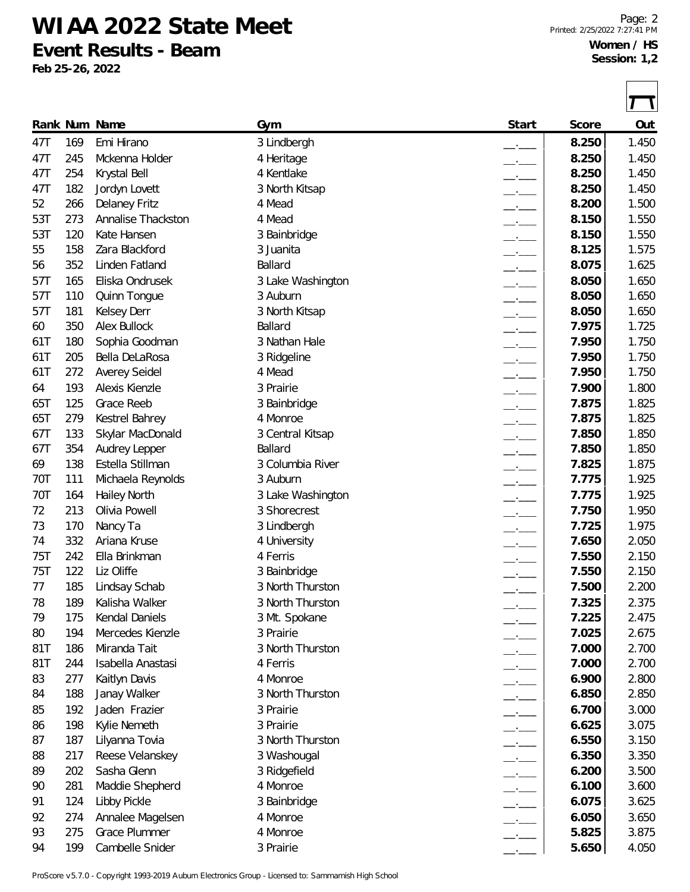## **WIAA 2022 State Meet**

**Event Results - Beam**

**Feb 25-26, 2022**

|     |     | Rank Num Name        | Gym               | Start                    | Score | Out   |
|-----|-----|----------------------|-------------------|--------------------------|-------|-------|
| 47T | 169 | Emi Hirano           | 3 Lindbergh       | —'—                      | 8.250 | 1.450 |
| 47T | 245 | Mckenna Holder       | 4 Heritage        | $-$                      | 8.250 | 1.450 |
| 47T | 254 | Krystal Bell         | 4 Kentlake        | $ -$                     | 8.250 | 1.450 |
| 47T | 182 | Jordyn Lovett        | 3 North Kitsap    | $-1$                     | 8.250 | 1.450 |
| 52  | 266 | <b>Delaney Fritz</b> | 4 Mead            |                          | 8.200 | 1.500 |
| 53T | 273 | Annalise Thackston   | 4 Mead            |                          | 8.150 | 1.550 |
| 53T | 120 | Kate Hansen          | 3 Bainbridge      | $-1$                     | 8.150 | 1.550 |
| 55  | 158 | Zara Blackford       | 3 Juanita         | $-1$                     | 8.125 | 1.575 |
| 56  | 352 | Linden Fatland       | Ballard           | $ -$                     | 8.075 | 1.625 |
| 57T | 165 | Eliska Ondrusek      | 3 Lake Washington | $ -$                     | 8.050 | 1.650 |
| 57T | 110 | <b>Quinn Tongue</b>  | 3 Auburn          | $ -$                     | 8.050 | 1.650 |
| 57T | 181 | <b>Kelsey Derr</b>   | 3 North Kitsap    | $-$                      | 8.050 | 1.650 |
| 60  | 350 | <b>Alex Bullock</b>  | Ballard           | $\overline{\phantom{a}}$ | 7.975 | 1.725 |
| 61T | 180 | Sophia Goodman       | 3 Nathan Hale     | $\overline{\phantom{a}}$ | 7.950 | 1.750 |
| 61T | 205 | Bella DeLaRosa       | 3 Ridgeline       | $-1$                     | 7.950 | 1.750 |
| 61T | 272 | Averey Seidel        | 4 Mead            | $-1$                     | 7.950 | 1.750 |
| 64  | 193 | Alexis Kienzle       | 3 Prairie         | $ -$                     | 7.900 | 1.800 |
| 65T | 125 | Grace Reeb           | 3 Bainbridge      | $ -$                     | 7.875 | 1.825 |
| 65T | 279 | Kestrel Bahrey       | 4 Monroe          | $-$                      | 7.875 | 1.825 |
| 67T | 133 | Skylar MacDonald     | 3 Central Kitsap  | $ -$                     | 7.850 | 1.850 |
| 67T | 354 | Audrey Lepper        | Ballard           |                          | 7.850 | 1.850 |
| 69  | 138 | Estella Stillman     | 3 Columbia River  | $ -$                     | 7.825 | 1.875 |
| 70T | 111 | Michaela Reynolds    | 3 Auburn          | $-1$                     | 7.775 | 1.925 |
| 70T | 164 | Hailey North         | 3 Lake Washington | $ -$                     | 7.775 | 1.925 |
| 72  | 213 | Olivia Powell        | 3 Shorecrest      | $-$                      | 7.750 | 1.950 |
| 73  | 170 | Nancy Ta             | 3 Lindbergh       | $ -$                     | 7.725 | 1.975 |
| 74  | 332 | Ariana Kruse         | 4 University      | $ -$                     | 7.650 | 2.050 |
| 75T | 242 | Ella Brinkman        | 4 Ferris          | $-$                      | 7.550 | 2.150 |
| 75T | 122 | Liz Oliffe           | 3 Bainbridge      |                          | 7.550 | 2.150 |
| 77  | 185 | Lindsay Schab        | 3 North Thurston  |                          | 7.500 | 2.200 |
| 78  | 189 | Kalisha Walker       | 3 North Thurston  |                          | 7.325 | 2.375 |
| 79  | 175 | Kendal Daniels       | 3 Mt. Spokane     |                          | 7.225 | 2.475 |
| 80  | 194 | Mercedes Kienzle     | 3 Prairie         | $ -$                     | 7.025 | 2.675 |
| 81T | 186 | Miranda Tait         | 3 North Thurston  | $-$                      | 7.000 | 2.700 |
| 81T | 244 | Isabella Anastasi    | 4 Ferris          | $-$                      | 7.000 | 2.700 |
| 83  | 277 | Kaitlyn Davis        | 4 Monroe          | $\overline{\phantom{a}}$ | 6.900 | 2.800 |
| 84  | 188 | Janay Walker         | 3 North Thurston  | $\overline{\phantom{a}}$ | 6.850 | 2.850 |
| 85  | 192 | Jaden Frazier        | 3 Prairie         | $-$                      | 6.700 | 3.000 |
| 86  | 198 | Kylie Nemeth         | 3 Prairie         | $\overline{\phantom{a}}$ | 6.625 | 3.075 |
| 87  | 187 | Lilyanna Tovia       | 3 North Thurston  | $\overline{\phantom{a}}$ | 6.550 | 3.150 |
| 88  | 217 | Reese Velanskey      | 3 Washougal       | $\overline{\phantom{a}}$ | 6.350 | 3.350 |
| 89  | 202 | Sasha Glenn          | 3 Ridgefield      | $-$                      | 6.200 | 3.500 |
| 90  | 281 | Maddie Shepherd      | 4 Monroe          | $\overline{\phantom{a}}$ | 6.100 | 3.600 |
| 91  | 124 | Libby Pickle         | 3 Bainbridge      | $-1$                     | 6.075 | 3.625 |
| 92  | 274 | Annalee Magelsen     | 4 Monroe          | $ -$                     | 6.050 | 3.650 |
| 93  | 275 | <b>Grace Plummer</b> | 4 Monroe          |                          | 5.825 | 3.875 |
| 94  | 199 | Cambelle Snider      | 3 Prairie         |                          | 5.650 | 4.050 |

ProScore v5.7.0 - Copyright 1993-2019 Auburn Electronics Group - Licensed to: Sammamish High School